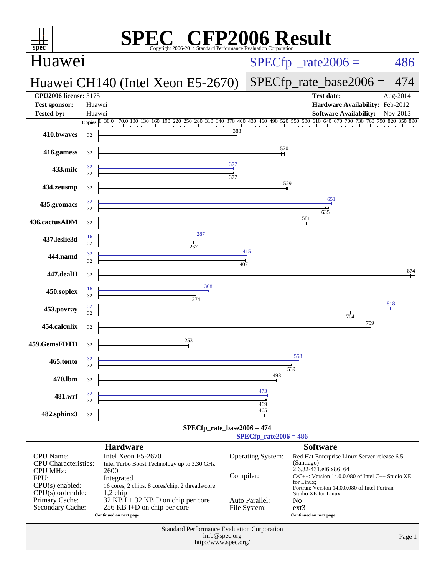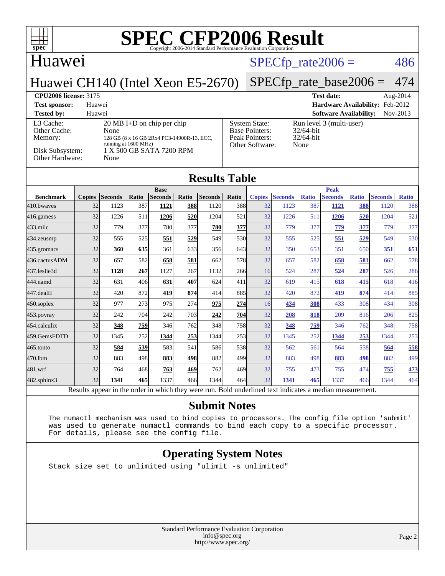### **Huawei**

#### $SPECTp_rate2006 = 486$

Huawei CH140 (Intel Xeon E5-2670)

#### [SPECfp\\_rate\\_base2006 =](http://www.spec.org/auto/cpu2006/Docs/result-fields.html#SPECfpratebase2006) 474

#### **[CPU2006 license:](http://www.spec.org/auto/cpu2006/Docs/result-fields.html#CPU2006license)** 3175 **[Test date:](http://www.spec.org/auto/cpu2006/Docs/result-fields.html#Testdate)** Aug-2014

**[Test sponsor:](http://www.spec.org/auto/cpu2006/Docs/result-fields.html#Testsponsor)** Huawei **[Hardware Availability:](http://www.spec.org/auto/cpu2006/Docs/result-fields.html#HardwareAvailability)** Feb-2012 **[Tested by:](http://www.spec.org/auto/cpu2006/Docs/result-fields.html#Testedby)** Huawei **[Software Availability:](http://www.spec.org/auto/cpu2006/Docs/result-fields.html#SoftwareAvailability)** Nov-2013 [L3 Cache:](http://www.spec.org/auto/cpu2006/Docs/result-fields.html#L3Cache) 20 MB I+D on chip per chip<br>Other Cache: None [Other Cache:](http://www.spec.org/auto/cpu2006/Docs/result-fields.html#OtherCache) [Memory:](http://www.spec.org/auto/cpu2006/Docs/result-fields.html#Memory) 128 GB (8 x 16 GB 2Rx4 PC3-14900R-13, ECC, running at 1600 MHz) [Disk Subsystem:](http://www.spec.org/auto/cpu2006/Docs/result-fields.html#DiskSubsystem)  $1 \text{ X } 500 \text{ GB } \text{SATA } 7200 \text{ RPM}$ <br>Other Hardware: None [Other Hardware:](http://www.spec.org/auto/cpu2006/Docs/result-fields.html#OtherHardware) [System State:](http://www.spec.org/auto/cpu2006/Docs/result-fields.html#SystemState) Run level 3 (multi-user) **Base Pointers** [Peak Pointers:](http://www.spec.org/auto/cpu2006/Docs/result-fields.html#PeakPointers) [Other Software:](http://www.spec.org/auto/cpu2006/Docs/result-fields.html#OtherSoftware) None

| sonware         |
|-----------------|
| Run level 3 (mu |
| $32/64$ -bit    |
| $32/64$ -bit    |
| $N_{\alpha}$    |

## **[Results Table](http://www.spec.org/auto/cpu2006/Docs/result-fields.html#ResultsTable)**

|                  | <b>Base</b>   |                |       |                |       | <b>Peak</b>    |            |               |                |              |                |              |                |              |
|------------------|---------------|----------------|-------|----------------|-------|----------------|------------|---------------|----------------|--------------|----------------|--------------|----------------|--------------|
| <b>Benchmark</b> | <b>Copies</b> | <b>Seconds</b> | Ratio | <b>Seconds</b> | Ratio | <b>Seconds</b> | Ratio      | <b>Copies</b> | <b>Seconds</b> | <b>Ratio</b> | <b>Seconds</b> | <b>Ratio</b> | <b>Seconds</b> | <b>Ratio</b> |
| 410.bwayes       | 32            | 1123           | 387   | 1121           | 388   | 1120           | 388        | 32            | 1123           | 387          | 1121           | 388          | 1120           | 388          |
| $416$ .gamess    | 32            | 1226           | 511   | 1206           | 520   | 1204           | 521        | 32            | 1226           | 511          | 1206           | 520          | 1204           | 521          |
| $433$ .milc      | 32            | 779            | 377   | 780            | 377   | 780            | 377I       | 32            | 779            | 377          | 779            | 377          | 779            | 377          |
| $434$ . zeusmp   | 32            | 555            | 525   | 551            | 529   | 549            | 530l       | 32            | 555            | 525          | 551            | 529          | 549            | 530          |
| 435.gromacs      | 32            | 360            | 635   | 361            | 633   | 356            | 643        | 32            | 350            | 653          | 351            | 650          | 351            | 651          |
| 436.cactusADM    | 32            | 657            | 582   | 658            | 581   | 662            | 578        | 32            | 657            | 582          | 658            | 581          | 662            | 578          |
| 437.leslie3d     | 32            | 1128           | 267   | 1127           | 267   | 1132           | 266        | 16            | 524            | 287          | 524            | 287          | 526            | 286          |
| 444.namd         | 32            | 631            | 406   | 631            | 407   | 624            | 411        | 32            | 619            | 415          | 618            | 415          | 618            | 416          |
| 447.dealII       | 32            | 420            | 872   | 419            | 874   | 414            | 885        | 32            | 420            | 872          | 419            | 874          | 414            | 885          |
| $450$ .soplex    | 32            | 977            | 273   | 975            | 274   | 975            | 274        | 16            | 434            | 308          | 433            | 308          | 434            | 308          |
| $453$ .povray    | 32            | 242            | 704   | 242            | 703   | 242            | 704        | 32            | 208            | 818          | 209            | 816          | 206            | 825          |
| 454.calculix     | 32            | 348            | 759   | 346            | 762   | 348            | <b>758</b> | 32            | 348            | 759          | 346            | 762          | 348            | 758          |
| 459.GemsFDTD     | 32            | 1345           | 252   | 1344           | 253   | 1344           | 253        | 32            | 1345           | 252          | 1344           | 253          | 1344           | 253          |
| $465$ .tonto     | 32            | 584            | 539   | 583            | 541   | 586            | 538        | 32            | 562            | 561          | 564            | 558          | 564            | 558          |
| 470.1bm          | 32            | 883            | 498   | 883            | 498   | 882            | 499        | 32            | 883            | 498          | 883            | 498          | 882            | 499          |
| 481.wrf          | 32            | 764            | 468   | 763            | 469   | 762            | 469        | 32            | 755            | 473          | 755            | 474          | 755            | 473          |
| 482.sphinx3      | 32            | 1341           | 465   | 1337           | 466   | 1344           | 464        | 32            | 1341           | 465          | 1337           | 466          | 1344           | 464          |

Results appear in the [order in which they were run.](http://www.spec.org/auto/cpu2006/Docs/result-fields.html#RunOrder) Bold underlined text [indicates a median measurement.](http://www.spec.org/auto/cpu2006/Docs/result-fields.html#Median)

#### **[Submit Notes](http://www.spec.org/auto/cpu2006/Docs/result-fields.html#SubmitNotes)**

 The numactl mechanism was used to bind copies to processors. The config file option 'submit' was used to generate numactl commands to bind each copy to a specific processor. For details, please see the config file.

#### **[Operating System Notes](http://www.spec.org/auto/cpu2006/Docs/result-fields.html#OperatingSystemNotes)**

Stack size set to unlimited using "ulimit -s unlimited"

Standard Performance Evaluation Corporation [info@spec.org](mailto:info@spec.org) <http://www.spec.org/>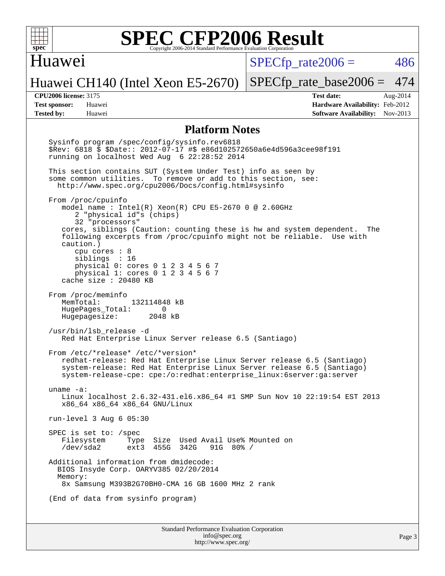

#### Huawei

 $SPECTp\_rate2006 = 486$ 

Huawei CH140 (Intel Xeon E5-2670)

[SPECfp\\_rate\\_base2006 =](http://www.spec.org/auto/cpu2006/Docs/result-fields.html#SPECfpratebase2006) 474

**[CPU2006 license:](http://www.spec.org/auto/cpu2006/Docs/result-fields.html#CPU2006license)** 3175 **[Test date:](http://www.spec.org/auto/cpu2006/Docs/result-fields.html#Testdate)** Aug-2014 **[Test sponsor:](http://www.spec.org/auto/cpu2006/Docs/result-fields.html#Testsponsor)** Huawei **[Hardware Availability:](http://www.spec.org/auto/cpu2006/Docs/result-fields.html#HardwareAvailability)** Feb-2012 **[Tested by:](http://www.spec.org/auto/cpu2006/Docs/result-fields.html#Testedby)** Huawei **[Software Availability:](http://www.spec.org/auto/cpu2006/Docs/result-fields.html#SoftwareAvailability)** Nov-2013

#### **[Platform Notes](http://www.spec.org/auto/cpu2006/Docs/result-fields.html#PlatformNotes)**

 Sysinfo program /spec/config/sysinfo.rev6818 \$Rev: 6818 \$ \$Date:: 2012-07-17 #\$ e86d102572650a6e4d596a3cee98f191 running on localhost Wed Aug 6 22:28:52 2014 This section contains SUT (System Under Test) info as seen by some common utilities. To remove or add to this section, see: <http://www.spec.org/cpu2006/Docs/config.html#sysinfo> From /proc/cpuinfo model name : Intel(R) Xeon(R) CPU E5-2670 0 @ 2.60GHz 2 "physical id"s (chips) 32 "processors" cores, siblings (Caution: counting these is hw and system dependent. The following excerpts from /proc/cpuinfo might not be reliable. Use with caution.) cpu cores : 8 siblings : 16 physical 0: cores 0 1 2 3 4 5 6 7 physical 1: cores 0 1 2 3 4 5 6 7 cache size : 20480 KB From /proc/meminfo MemTotal: 132114848 kB HugePages\_Total: 0<br>Hugepagesize: 2048 kB Hugepagesize: /usr/bin/lsb\_release -d Red Hat Enterprise Linux Server release 6.5 (Santiago) From /etc/\*release\* /etc/\*version\* redhat-release: Red Hat Enterprise Linux Server release 6.5 (Santiago) system-release: Red Hat Enterprise Linux Server release 6.5 (Santiago) system-release-cpe: cpe:/o:redhat:enterprise\_linux:6server:ga:server uname -a: Linux localhost 2.6.32-431.el6.x86\_64 #1 SMP Sun Nov 10 22:19:54 EST 2013 x86\_64 x86\_64 x86\_64 GNU/Linux run-level 3 Aug 6 05:30 SPEC is set to: /spec Filesystem Type Size Used Avail Use% Mounted on<br>/dev/sda2 ext3 455G 342G 91G 80% / /dev/sda2 ext3 455G 342G 91G 80% / Additional information from dmidecode: BIOS Insyde Corp. OARYV385 02/20/2014 Memory: 8x Samsung M393B2G70BH0-CMA 16 GB 1600 MHz 2 rank (End of data from sysinfo program)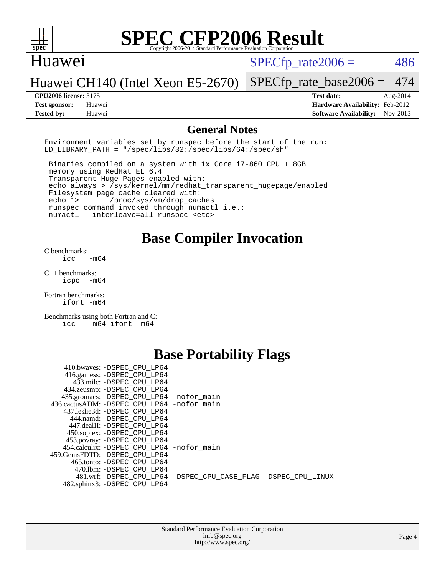

#### Huawei

 $SPECTp\_rate2006 = 486$ 

#### Huawei CH140 (Intel Xeon E5-2670)

**[Tested by:](http://www.spec.org/auto/cpu2006/Docs/result-fields.html#Testedby)** Huawei **[Software Availability:](http://www.spec.org/auto/cpu2006/Docs/result-fields.html#SoftwareAvailability)** Nov-2013

[SPECfp\\_rate\\_base2006 =](http://www.spec.org/auto/cpu2006/Docs/result-fields.html#SPECfpratebase2006) 474 **[CPU2006 license:](http://www.spec.org/auto/cpu2006/Docs/result-fields.html#CPU2006license)** 3175 **[Test date:](http://www.spec.org/auto/cpu2006/Docs/result-fields.html#Testdate)** Aug-2014 **[Test sponsor:](http://www.spec.org/auto/cpu2006/Docs/result-fields.html#Testsponsor)** Huawei **[Hardware Availability:](http://www.spec.org/auto/cpu2006/Docs/result-fields.html#HardwareAvailability)** Feb-2012

#### **[General Notes](http://www.spec.org/auto/cpu2006/Docs/result-fields.html#GeneralNotes)**

Environment variables set by runspec before the start of the run: LD LIBRARY PATH = "/spec/libs/32:/spec/libs/64:/spec/sh"

 Binaries compiled on a system with 1x Core i7-860 CPU + 8GB memory using RedHat EL 6.4 Transparent Huge Pages enabled with: echo always > /sys/kernel/mm/redhat\_transparent\_hugepage/enabled Filesystem page cache cleared with: echo 1> /proc/sys/vm/drop\_caches runspec command invoked through numactl i.e.: numactl --interleave=all runspec <etc>

**[Base Compiler Invocation](http://www.spec.org/auto/cpu2006/Docs/result-fields.html#BaseCompilerInvocation)**

[C benchmarks](http://www.spec.org/auto/cpu2006/Docs/result-fields.html#Cbenchmarks):  $\text{icc}$   $-\text{m64}$ 

[C++ benchmarks:](http://www.spec.org/auto/cpu2006/Docs/result-fields.html#CXXbenchmarks) [icpc -m64](http://www.spec.org/cpu2006/results/res2014q3/cpu2006-20140810-30846.flags.html#user_CXXbase_intel_icpc_64bit_bedb90c1146cab66620883ef4f41a67e)

[Fortran benchmarks](http://www.spec.org/auto/cpu2006/Docs/result-fields.html#Fortranbenchmarks): [ifort -m64](http://www.spec.org/cpu2006/results/res2014q3/cpu2006-20140810-30846.flags.html#user_FCbase_intel_ifort_64bit_ee9d0fb25645d0210d97eb0527dcc06e)

[Benchmarks using both Fortran and C](http://www.spec.org/auto/cpu2006/Docs/result-fields.html#BenchmarksusingbothFortranandC): [icc -m64](http://www.spec.org/cpu2006/results/res2014q3/cpu2006-20140810-30846.flags.html#user_CC_FCbase_intel_icc_64bit_0b7121f5ab7cfabee23d88897260401c) [ifort -m64](http://www.spec.org/cpu2006/results/res2014q3/cpu2006-20140810-30846.flags.html#user_CC_FCbase_intel_ifort_64bit_ee9d0fb25645d0210d97eb0527dcc06e)

### **[Base Portability Flags](http://www.spec.org/auto/cpu2006/Docs/result-fields.html#BasePortabilityFlags)**

| 410.bwaves: -DSPEC CPU LP64                 |                                                                |
|---------------------------------------------|----------------------------------------------------------------|
| 416.gamess: -DSPEC_CPU_LP64                 |                                                                |
| 433.milc: -DSPEC CPU LP64                   |                                                                |
| 434.zeusmp: - DSPEC_CPU_LP64                |                                                                |
| 435.gromacs: -DSPEC_CPU_LP64 -nofor_main    |                                                                |
| 436.cactusADM: -DSPEC CPU LP64 -nofor main  |                                                                |
| 437.leslie3d: -DSPEC CPU LP64               |                                                                |
| 444.namd: -DSPEC CPU LP64                   |                                                                |
| 447.dealII: -DSPEC_CPU LP64                 |                                                                |
| 450.soplex: -DSPEC_CPU_LP64                 |                                                                |
| 453.povray: -DSPEC_CPU_LP64                 |                                                                |
| 454.calculix: - DSPEC CPU LP64 - nofor main |                                                                |
| 459.GemsFDTD: -DSPEC CPU LP64               |                                                                |
| 465.tonto: -DSPEC CPU LP64                  |                                                                |
| 470.1bm: - DSPEC CPU LP64                   |                                                                |
|                                             | 481.wrf: -DSPEC CPU_LP64 -DSPEC_CPU_CASE_FLAG -DSPEC_CPU_LINUX |
| 482.sphinx3: -DSPEC CPU LP64                |                                                                |
|                                             |                                                                |

| <b>Standard Performance Evaluation Corporation</b> |
|----------------------------------------------------|
| info@spec.org                                      |
| http://www.spec.org/                               |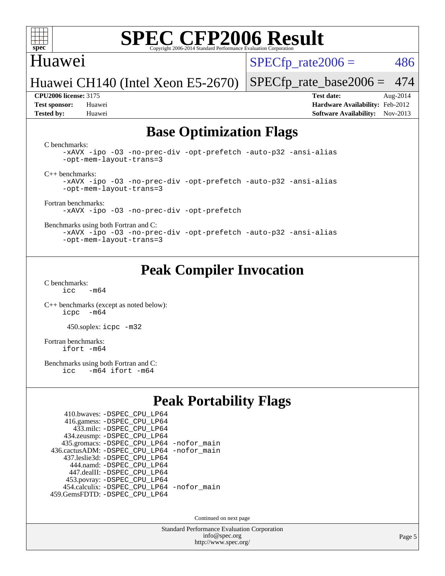

#### Huawei

 $SPECTp\_rate2006 = 486$ 

Huawei CH140 (Intel Xeon E5-2670)

**[Tested by:](http://www.spec.org/auto/cpu2006/Docs/result-fields.html#Testedby)** Huawei **[Software Availability:](http://www.spec.org/auto/cpu2006/Docs/result-fields.html#SoftwareAvailability)** Nov-2013

[SPECfp\\_rate\\_base2006 =](http://www.spec.org/auto/cpu2006/Docs/result-fields.html#SPECfpratebase2006) 474 **[CPU2006 license:](http://www.spec.org/auto/cpu2006/Docs/result-fields.html#CPU2006license)** 3175 **[Test date:](http://www.spec.org/auto/cpu2006/Docs/result-fields.html#Testdate)** Aug-2014 **[Test sponsor:](http://www.spec.org/auto/cpu2006/Docs/result-fields.html#Testsponsor)** Huawei **[Hardware Availability:](http://www.spec.org/auto/cpu2006/Docs/result-fields.html#HardwareAvailability)** Feb-2012

### **[Base Optimization Flags](http://www.spec.org/auto/cpu2006/Docs/result-fields.html#BaseOptimizationFlags)**

[C benchmarks](http://www.spec.org/auto/cpu2006/Docs/result-fields.html#Cbenchmarks):

[-xAVX](http://www.spec.org/cpu2006/results/res2014q3/cpu2006-20140810-30846.flags.html#user_CCbase_f-xAVX) [-ipo](http://www.spec.org/cpu2006/results/res2014q3/cpu2006-20140810-30846.flags.html#user_CCbase_f-ipo) [-O3](http://www.spec.org/cpu2006/results/res2014q3/cpu2006-20140810-30846.flags.html#user_CCbase_f-O3) [-no-prec-div](http://www.spec.org/cpu2006/results/res2014q3/cpu2006-20140810-30846.flags.html#user_CCbase_f-no-prec-div) [-opt-prefetch](http://www.spec.org/cpu2006/results/res2014q3/cpu2006-20140810-30846.flags.html#user_CCbase_f-opt-prefetch) [-auto-p32](http://www.spec.org/cpu2006/results/res2014q3/cpu2006-20140810-30846.flags.html#user_CCbase_f-auto-p32) [-ansi-alias](http://www.spec.org/cpu2006/results/res2014q3/cpu2006-20140810-30846.flags.html#user_CCbase_f-ansi-alias) [-opt-mem-layout-trans=3](http://www.spec.org/cpu2006/results/res2014q3/cpu2006-20140810-30846.flags.html#user_CCbase_f-opt-mem-layout-trans_a7b82ad4bd7abf52556d4961a2ae94d5)

[C++ benchmarks:](http://www.spec.org/auto/cpu2006/Docs/result-fields.html#CXXbenchmarks)

[-xAVX](http://www.spec.org/cpu2006/results/res2014q3/cpu2006-20140810-30846.flags.html#user_CXXbase_f-xAVX) [-ipo](http://www.spec.org/cpu2006/results/res2014q3/cpu2006-20140810-30846.flags.html#user_CXXbase_f-ipo) [-O3](http://www.spec.org/cpu2006/results/res2014q3/cpu2006-20140810-30846.flags.html#user_CXXbase_f-O3) [-no-prec-div](http://www.spec.org/cpu2006/results/res2014q3/cpu2006-20140810-30846.flags.html#user_CXXbase_f-no-prec-div) [-opt-prefetch](http://www.spec.org/cpu2006/results/res2014q3/cpu2006-20140810-30846.flags.html#user_CXXbase_f-opt-prefetch) [-auto-p32](http://www.spec.org/cpu2006/results/res2014q3/cpu2006-20140810-30846.flags.html#user_CXXbase_f-auto-p32) [-ansi-alias](http://www.spec.org/cpu2006/results/res2014q3/cpu2006-20140810-30846.flags.html#user_CXXbase_f-ansi-alias) [-opt-mem-layout-trans=3](http://www.spec.org/cpu2006/results/res2014q3/cpu2006-20140810-30846.flags.html#user_CXXbase_f-opt-mem-layout-trans_a7b82ad4bd7abf52556d4961a2ae94d5)

[Fortran benchmarks](http://www.spec.org/auto/cpu2006/Docs/result-fields.html#Fortranbenchmarks):

[-xAVX](http://www.spec.org/cpu2006/results/res2014q3/cpu2006-20140810-30846.flags.html#user_FCbase_f-xAVX) [-ipo](http://www.spec.org/cpu2006/results/res2014q3/cpu2006-20140810-30846.flags.html#user_FCbase_f-ipo) [-O3](http://www.spec.org/cpu2006/results/res2014q3/cpu2006-20140810-30846.flags.html#user_FCbase_f-O3) [-no-prec-div](http://www.spec.org/cpu2006/results/res2014q3/cpu2006-20140810-30846.flags.html#user_FCbase_f-no-prec-div) [-opt-prefetch](http://www.spec.org/cpu2006/results/res2014q3/cpu2006-20140810-30846.flags.html#user_FCbase_f-opt-prefetch)

[Benchmarks using both Fortran and C](http://www.spec.org/auto/cpu2006/Docs/result-fields.html#BenchmarksusingbothFortranandC):

[-xAVX](http://www.spec.org/cpu2006/results/res2014q3/cpu2006-20140810-30846.flags.html#user_CC_FCbase_f-xAVX) [-ipo](http://www.spec.org/cpu2006/results/res2014q3/cpu2006-20140810-30846.flags.html#user_CC_FCbase_f-ipo) [-O3](http://www.spec.org/cpu2006/results/res2014q3/cpu2006-20140810-30846.flags.html#user_CC_FCbase_f-O3) [-no-prec-div](http://www.spec.org/cpu2006/results/res2014q3/cpu2006-20140810-30846.flags.html#user_CC_FCbase_f-no-prec-div) [-opt-prefetch](http://www.spec.org/cpu2006/results/res2014q3/cpu2006-20140810-30846.flags.html#user_CC_FCbase_f-opt-prefetch) [-auto-p32](http://www.spec.org/cpu2006/results/res2014q3/cpu2006-20140810-30846.flags.html#user_CC_FCbase_f-auto-p32) [-ansi-alias](http://www.spec.org/cpu2006/results/res2014q3/cpu2006-20140810-30846.flags.html#user_CC_FCbase_f-ansi-alias) [-opt-mem-layout-trans=3](http://www.spec.org/cpu2006/results/res2014q3/cpu2006-20140810-30846.flags.html#user_CC_FCbase_f-opt-mem-layout-trans_a7b82ad4bd7abf52556d4961a2ae94d5)

### **[Peak Compiler Invocation](http://www.spec.org/auto/cpu2006/Docs/result-fields.html#PeakCompilerInvocation)**

[C benchmarks](http://www.spec.org/auto/cpu2006/Docs/result-fields.html#Cbenchmarks):  $icc$   $-m64$ 

[C++ benchmarks \(except as noted below\):](http://www.spec.org/auto/cpu2006/Docs/result-fields.html#CXXbenchmarksexceptasnotedbelow) [icpc -m64](http://www.spec.org/cpu2006/results/res2014q3/cpu2006-20140810-30846.flags.html#user_CXXpeak_intel_icpc_64bit_bedb90c1146cab66620883ef4f41a67e)

450.soplex: [icpc -m32](http://www.spec.org/cpu2006/results/res2014q3/cpu2006-20140810-30846.flags.html#user_peakCXXLD450_soplex_intel_icpc_4e5a5ef1a53fd332b3c49e69c3330699)

[Fortran benchmarks](http://www.spec.org/auto/cpu2006/Docs/result-fields.html#Fortranbenchmarks): [ifort -m64](http://www.spec.org/cpu2006/results/res2014q3/cpu2006-20140810-30846.flags.html#user_FCpeak_intel_ifort_64bit_ee9d0fb25645d0210d97eb0527dcc06e)

[Benchmarks using both Fortran and C](http://www.spec.org/auto/cpu2006/Docs/result-fields.html#BenchmarksusingbothFortranandC):<br>icc -m64 ifort -m64  $-m64$  ifort  $-m64$ 

### **[Peak Portability Flags](http://www.spec.org/auto/cpu2006/Docs/result-fields.html#PeakPortabilityFlags)**

| 410.bwaves: - DSPEC CPU LP64                |  |
|---------------------------------------------|--|
| 416.gamess: -DSPEC_CPU_LP64                 |  |
| 433.milc: - DSPEC_CPU LP64                  |  |
| 434.zeusmp: -DSPEC_CPU_LP64                 |  |
| 435.gromacs: -DSPEC_CPU_LP64 -nofor_main    |  |
| 436.cactusADM: -DSPEC CPU LP64 -nofor main  |  |
| 437.leslie3d: -DSPEC CPU LP64               |  |
| 444.namd: - DSPEC CPU LP64                  |  |
| 447.dealII: -DSPEC CPU LP64                 |  |
| 453.povray: -DSPEC_CPU_LP64                 |  |
| 454.calculix: - DSPEC CPU LP64 - nofor main |  |
| 459.GemsFDTD: - DSPEC_CPU_LP64              |  |

Continued on next page

Standard Performance Evaluation Corporation [info@spec.org](mailto:info@spec.org) <http://www.spec.org/>

Page 5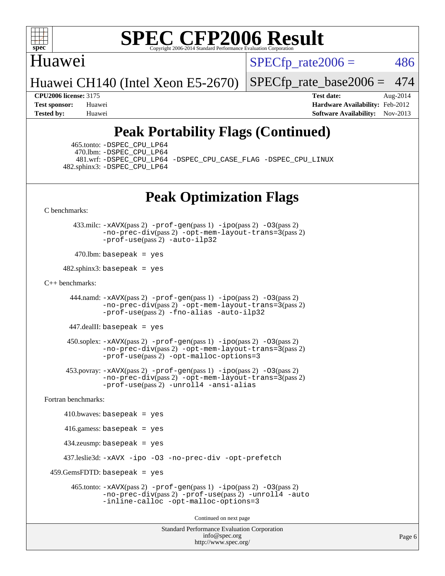

#### Huawei

 $SPECTp\_rate2006 = 486$ 

Huawei CH140 (Intel Xeon E5-2670)

[SPECfp\\_rate\\_base2006 =](http://www.spec.org/auto/cpu2006/Docs/result-fields.html#SPECfpratebase2006) 474

**[CPU2006 license:](http://www.spec.org/auto/cpu2006/Docs/result-fields.html#CPU2006license)** 3175 **[Test date:](http://www.spec.org/auto/cpu2006/Docs/result-fields.html#Testdate)** Aug-2014 **[Test sponsor:](http://www.spec.org/auto/cpu2006/Docs/result-fields.html#Testsponsor)** Huawei **[Hardware Availability:](http://www.spec.org/auto/cpu2006/Docs/result-fields.html#HardwareAvailability)** Feb-2012 **[Tested by:](http://www.spec.org/auto/cpu2006/Docs/result-fields.html#Testedby)** Huawei **[Software Availability:](http://www.spec.org/auto/cpu2006/Docs/result-fields.html#SoftwareAvailability)** Nov-2013

### **[Peak Portability Flags \(Continued\)](http://www.spec.org/auto/cpu2006/Docs/result-fields.html#PeakPortabilityFlags)**

 465.tonto: [-DSPEC\\_CPU\\_LP64](http://www.spec.org/cpu2006/results/res2014q3/cpu2006-20140810-30846.flags.html#suite_peakPORTABILITY465_tonto_DSPEC_CPU_LP64) 470.lbm: [-DSPEC\\_CPU\\_LP64](http://www.spec.org/cpu2006/results/res2014q3/cpu2006-20140810-30846.flags.html#suite_peakPORTABILITY470_lbm_DSPEC_CPU_LP64) 482.sphinx3: [-DSPEC\\_CPU\\_LP64](http://www.spec.org/cpu2006/results/res2014q3/cpu2006-20140810-30846.flags.html#suite_peakPORTABILITY482_sphinx3_DSPEC_CPU_LP64)

481.wrf: [-DSPEC\\_CPU\\_LP64](http://www.spec.org/cpu2006/results/res2014q3/cpu2006-20140810-30846.flags.html#suite_peakPORTABILITY481_wrf_DSPEC_CPU_LP64) [-DSPEC\\_CPU\\_CASE\\_FLAG](http://www.spec.org/cpu2006/results/res2014q3/cpu2006-20140810-30846.flags.html#b481.wrf_peakCPORTABILITY_DSPEC_CPU_CASE_FLAG) [-DSPEC\\_CPU\\_LINUX](http://www.spec.org/cpu2006/results/res2014q3/cpu2006-20140810-30846.flags.html#b481.wrf_peakCPORTABILITY_DSPEC_CPU_LINUX)

### **[Peak Optimization Flags](http://www.spec.org/auto/cpu2006/Docs/result-fields.html#PeakOptimizationFlags)**

[C benchmarks](http://www.spec.org/auto/cpu2006/Docs/result-fields.html#Cbenchmarks):

 433.milc: [-xAVX](http://www.spec.org/cpu2006/results/res2014q3/cpu2006-20140810-30846.flags.html#user_peakPASS2_CFLAGSPASS2_LDFLAGS433_milc_f-xAVX)(pass 2) [-prof-gen](http://www.spec.org/cpu2006/results/res2014q3/cpu2006-20140810-30846.flags.html#user_peakPASS1_CFLAGSPASS1_LDFLAGS433_milc_prof_gen_e43856698f6ca7b7e442dfd80e94a8fc)(pass 1) [-ipo](http://www.spec.org/cpu2006/results/res2014q3/cpu2006-20140810-30846.flags.html#user_peakPASS2_CFLAGSPASS2_LDFLAGS433_milc_f-ipo)(pass 2) [-O3](http://www.spec.org/cpu2006/results/res2014q3/cpu2006-20140810-30846.flags.html#user_peakPASS2_CFLAGSPASS2_LDFLAGS433_milc_f-O3)(pass 2) [-no-prec-div](http://www.spec.org/cpu2006/results/res2014q3/cpu2006-20140810-30846.flags.html#user_peakPASS2_CFLAGSPASS2_LDFLAGS433_milc_f-no-prec-div)(pass 2) [-opt-mem-layout-trans=3](http://www.spec.org/cpu2006/results/res2014q3/cpu2006-20140810-30846.flags.html#user_peakPASS2_CFLAGS433_milc_f-opt-mem-layout-trans_a7b82ad4bd7abf52556d4961a2ae94d5)(pass 2) [-prof-use](http://www.spec.org/cpu2006/results/res2014q3/cpu2006-20140810-30846.flags.html#user_peakPASS2_CFLAGSPASS2_LDFLAGS433_milc_prof_use_bccf7792157ff70d64e32fe3e1250b55)(pass 2) [-auto-ilp32](http://www.spec.org/cpu2006/results/res2014q3/cpu2006-20140810-30846.flags.html#user_peakCOPTIMIZE433_milc_f-auto-ilp32)

 $470$ .lbm: basepeak = yes

 $482$ .sphinx3: basepeak = yes

#### [C++ benchmarks:](http://www.spec.org/auto/cpu2006/Docs/result-fields.html#CXXbenchmarks)

 444.namd: [-xAVX](http://www.spec.org/cpu2006/results/res2014q3/cpu2006-20140810-30846.flags.html#user_peakPASS2_CXXFLAGSPASS2_LDFLAGS444_namd_f-xAVX)(pass 2) [-prof-gen](http://www.spec.org/cpu2006/results/res2014q3/cpu2006-20140810-30846.flags.html#user_peakPASS1_CXXFLAGSPASS1_LDFLAGS444_namd_prof_gen_e43856698f6ca7b7e442dfd80e94a8fc)(pass 1) [-ipo](http://www.spec.org/cpu2006/results/res2014q3/cpu2006-20140810-30846.flags.html#user_peakPASS2_CXXFLAGSPASS2_LDFLAGS444_namd_f-ipo)(pass 2) [-O3](http://www.spec.org/cpu2006/results/res2014q3/cpu2006-20140810-30846.flags.html#user_peakPASS2_CXXFLAGSPASS2_LDFLAGS444_namd_f-O3)(pass 2) [-no-prec-div](http://www.spec.org/cpu2006/results/res2014q3/cpu2006-20140810-30846.flags.html#user_peakPASS2_CXXFLAGSPASS2_LDFLAGS444_namd_f-no-prec-div)(pass 2) [-opt-mem-layout-trans=3](http://www.spec.org/cpu2006/results/res2014q3/cpu2006-20140810-30846.flags.html#user_peakPASS2_CXXFLAGS444_namd_f-opt-mem-layout-trans_a7b82ad4bd7abf52556d4961a2ae94d5)(pass 2) [-prof-use](http://www.spec.org/cpu2006/results/res2014q3/cpu2006-20140810-30846.flags.html#user_peakPASS2_CXXFLAGSPASS2_LDFLAGS444_namd_prof_use_bccf7792157ff70d64e32fe3e1250b55)(pass 2) [-fno-alias](http://www.spec.org/cpu2006/results/res2014q3/cpu2006-20140810-30846.flags.html#user_peakCXXOPTIMIZE444_namd_f-no-alias_694e77f6c5a51e658e82ccff53a9e63a) [-auto-ilp32](http://www.spec.org/cpu2006/results/res2014q3/cpu2006-20140810-30846.flags.html#user_peakCXXOPTIMIZE444_namd_f-auto-ilp32)

447.dealII: basepeak = yes

 $450$ .soplex:  $-x$ AVX(pass 2)  $-p$ rof-gen(pass 1)  $-i$ po(pass 2)  $-03$ (pass 2) [-no-prec-div](http://www.spec.org/cpu2006/results/res2014q3/cpu2006-20140810-30846.flags.html#user_peakPASS2_CXXFLAGSPASS2_LDFLAGS450_soplex_f-no-prec-div)(pass 2) [-opt-mem-layout-trans=3](http://www.spec.org/cpu2006/results/res2014q3/cpu2006-20140810-30846.flags.html#user_peakPASS2_CXXFLAGS450_soplex_f-opt-mem-layout-trans_a7b82ad4bd7abf52556d4961a2ae94d5)(pass 2) [-prof-use](http://www.spec.org/cpu2006/results/res2014q3/cpu2006-20140810-30846.flags.html#user_peakPASS2_CXXFLAGSPASS2_LDFLAGS450_soplex_prof_use_bccf7792157ff70d64e32fe3e1250b55)(pass 2) [-opt-malloc-options=3](http://www.spec.org/cpu2006/results/res2014q3/cpu2006-20140810-30846.flags.html#user_peakOPTIMIZE450_soplex_f-opt-malloc-options_13ab9b803cf986b4ee62f0a5998c2238)

 453.povray: [-xAVX](http://www.spec.org/cpu2006/results/res2014q3/cpu2006-20140810-30846.flags.html#user_peakPASS2_CXXFLAGSPASS2_LDFLAGS453_povray_f-xAVX)(pass 2) [-prof-gen](http://www.spec.org/cpu2006/results/res2014q3/cpu2006-20140810-30846.flags.html#user_peakPASS1_CXXFLAGSPASS1_LDFLAGS453_povray_prof_gen_e43856698f6ca7b7e442dfd80e94a8fc)(pass 1) [-ipo](http://www.spec.org/cpu2006/results/res2014q3/cpu2006-20140810-30846.flags.html#user_peakPASS2_CXXFLAGSPASS2_LDFLAGS453_povray_f-ipo)(pass 2) [-O3](http://www.spec.org/cpu2006/results/res2014q3/cpu2006-20140810-30846.flags.html#user_peakPASS2_CXXFLAGSPASS2_LDFLAGS453_povray_f-O3)(pass 2) [-no-prec-div](http://www.spec.org/cpu2006/results/res2014q3/cpu2006-20140810-30846.flags.html#user_peakPASS2_CXXFLAGSPASS2_LDFLAGS453_povray_f-no-prec-div)(pass 2) [-opt-mem-layout-trans=3](http://www.spec.org/cpu2006/results/res2014q3/cpu2006-20140810-30846.flags.html#user_peakPASS2_CXXFLAGS453_povray_f-opt-mem-layout-trans_a7b82ad4bd7abf52556d4961a2ae94d5)(pass 2) [-prof-use](http://www.spec.org/cpu2006/results/res2014q3/cpu2006-20140810-30846.flags.html#user_peakPASS2_CXXFLAGSPASS2_LDFLAGS453_povray_prof_use_bccf7792157ff70d64e32fe3e1250b55)(pass 2) [-unroll4](http://www.spec.org/cpu2006/results/res2014q3/cpu2006-20140810-30846.flags.html#user_peakCXXOPTIMIZE453_povray_f-unroll_4e5e4ed65b7fd20bdcd365bec371b81f) [-ansi-alias](http://www.spec.org/cpu2006/results/res2014q3/cpu2006-20140810-30846.flags.html#user_peakCXXOPTIMIZE453_povray_f-ansi-alias)

[Fortran benchmarks](http://www.spec.org/auto/cpu2006/Docs/result-fields.html#Fortranbenchmarks):

 $410.bwaves: basepeak = yes$  416.gamess: basepeak = yes 434.zeusmp: basepeak = yes 437.leslie3d: [-xAVX](http://www.spec.org/cpu2006/results/res2014q3/cpu2006-20140810-30846.flags.html#user_peakOPTIMIZE437_leslie3d_f-xAVX) [-ipo](http://www.spec.org/cpu2006/results/res2014q3/cpu2006-20140810-30846.flags.html#user_peakOPTIMIZE437_leslie3d_f-ipo) [-O3](http://www.spec.org/cpu2006/results/res2014q3/cpu2006-20140810-30846.flags.html#user_peakOPTIMIZE437_leslie3d_f-O3) [-no-prec-div](http://www.spec.org/cpu2006/results/res2014q3/cpu2006-20140810-30846.flags.html#user_peakOPTIMIZE437_leslie3d_f-no-prec-div) [-opt-prefetch](http://www.spec.org/cpu2006/results/res2014q3/cpu2006-20140810-30846.flags.html#user_peakOPTIMIZE437_leslie3d_f-opt-prefetch)  $459.GemsFDTD: basepeak = yes$  465.tonto: [-xAVX](http://www.spec.org/cpu2006/results/res2014q3/cpu2006-20140810-30846.flags.html#user_peakPASS2_FFLAGSPASS2_LDFLAGS465_tonto_f-xAVX)(pass 2) [-prof-gen](http://www.spec.org/cpu2006/results/res2014q3/cpu2006-20140810-30846.flags.html#user_peakPASS1_FFLAGSPASS1_LDFLAGS465_tonto_prof_gen_e43856698f6ca7b7e442dfd80e94a8fc)(pass 1) [-ipo](http://www.spec.org/cpu2006/results/res2014q3/cpu2006-20140810-30846.flags.html#user_peakPASS2_FFLAGSPASS2_LDFLAGS465_tonto_f-ipo)(pass 2) [-O3](http://www.spec.org/cpu2006/results/res2014q3/cpu2006-20140810-30846.flags.html#user_peakPASS2_FFLAGSPASS2_LDFLAGS465_tonto_f-O3)(pass 2) [-no-prec-div](http://www.spec.org/cpu2006/results/res2014q3/cpu2006-20140810-30846.flags.html#user_peakPASS2_FFLAGSPASS2_LDFLAGS465_tonto_f-no-prec-div)(pass 2) [-prof-use](http://www.spec.org/cpu2006/results/res2014q3/cpu2006-20140810-30846.flags.html#user_peakPASS2_FFLAGSPASS2_LDFLAGS465_tonto_prof_use_bccf7792157ff70d64e32fe3e1250b55)(pass 2) [-unroll4](http://www.spec.org/cpu2006/results/res2014q3/cpu2006-20140810-30846.flags.html#user_peakOPTIMIZE465_tonto_f-unroll_4e5e4ed65b7fd20bdcd365bec371b81f) [-auto](http://www.spec.org/cpu2006/results/res2014q3/cpu2006-20140810-30846.flags.html#user_peakOPTIMIZE465_tonto_f-auto) [-inline-calloc](http://www.spec.org/cpu2006/results/res2014q3/cpu2006-20140810-30846.flags.html#user_peakOPTIMIZE465_tonto_f-inline-calloc) [-opt-malloc-options=3](http://www.spec.org/cpu2006/results/res2014q3/cpu2006-20140810-30846.flags.html#user_peakOPTIMIZE465_tonto_f-opt-malloc-options_13ab9b803cf986b4ee62f0a5998c2238) Continued on next page

> Standard Performance Evaluation Corporation [info@spec.org](mailto:info@spec.org) <http://www.spec.org/>